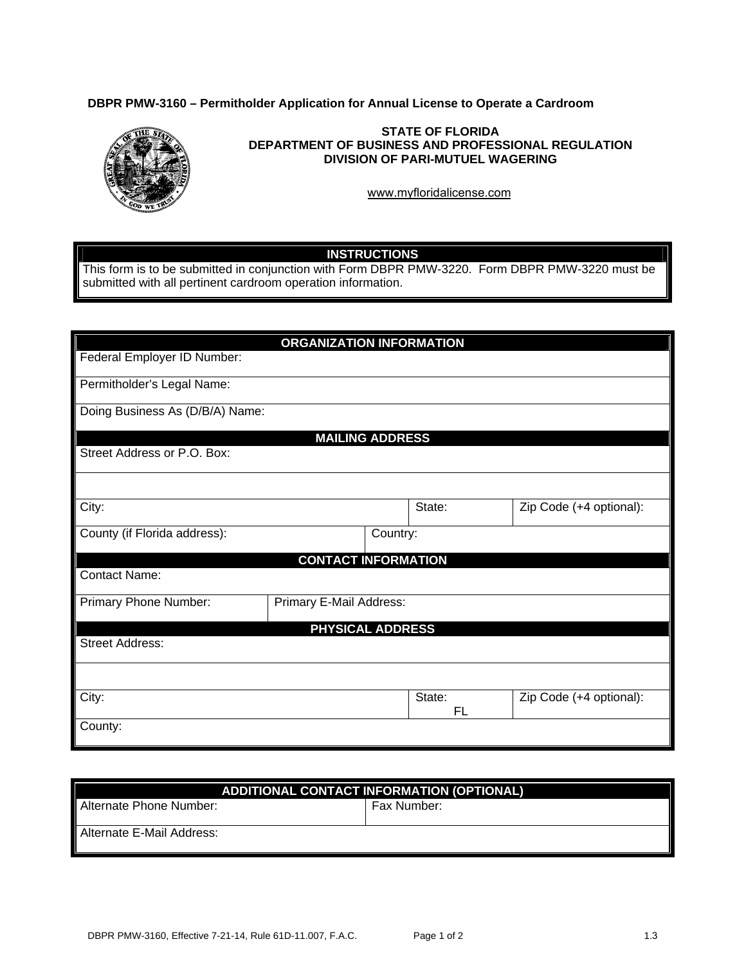### **DBPR PMW-3160 – Permitholder Application for Annual License to Operate a Cardroom**



#### **STATE OF FLORIDA DEPARTMENT OF BUSINESS AND PROFESSIONAL REGULATION DIVISION OF PARI-MUTUEL WAGERING**

<www.myfloridalicense.com>

# **INSTRUCTIONS**

This form is to be submitted in conjunction with Form DBPR PMW-3220. Form DBPR PMW-3220 must be submitted with all pertinent cardroom operation information.

| <b>ORGANIZATION INFORMATION</b> |                         |                     |                         |  |
|---------------------------------|-------------------------|---------------------|-------------------------|--|
| Federal Employer ID Number:     |                         |                     |                         |  |
| Permitholder's Legal Name:      |                         |                     |                         |  |
| Doing Business As (D/B/A) Name: |                         |                     |                         |  |
|                                 | <b>MAILING ADDRESS</b>  |                     |                         |  |
| Street Address or P.O. Box:     |                         |                     |                         |  |
|                                 |                         |                     |                         |  |
| City:                           |                         | State:              | Zip Code (+4 optional): |  |
| County (if Florida address):    | Country:                |                     |                         |  |
| <b>CONTACT INFORMATION</b>      |                         |                     |                         |  |
| <b>Contact Name:</b>            |                         |                     |                         |  |
| Primary Phone Number:           | Primary E-Mail Address: |                     |                         |  |
| <b>PHYSICAL ADDRESS</b>         |                         |                     |                         |  |
| <b>Street Address:</b>          |                         |                     |                         |  |
|                                 |                         |                     |                         |  |
| City:                           |                         | State:<br><b>FL</b> | Zip Code (+4 optional): |  |
| County:                         |                         |                     |                         |  |

| <b>ADDITIONAL CONTACT INFORMATION (OPTIONAL)</b> |             |  |  |
|--------------------------------------------------|-------------|--|--|
| Alternate Phone Number:                          | Fax Number: |  |  |
| Alternate E-Mail Address:                        |             |  |  |